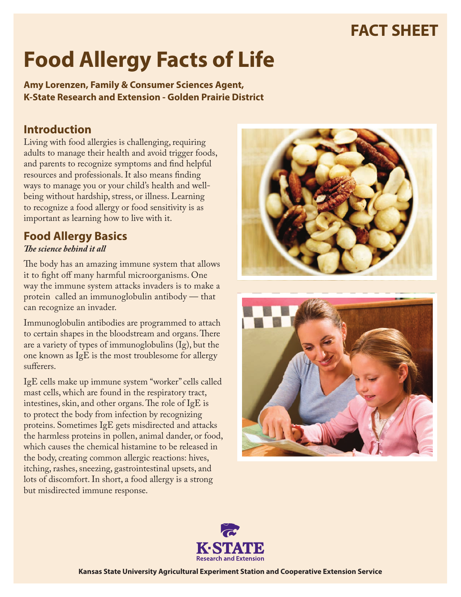# **FACT SHEET**

# **Food Allergy Facts of Life**

**Amy Lorenzen, Family & Consumer Sciences Agent, K-State Research and Extension - Golden Prairie District**

## **Introduction**

Living with food allergies is challenging, requiring adults to manage their health and avoid trigger foods, and parents to recognize symptoms and find helpful resources and professionals. It also means finding ways to manage you or your child's health and wellbeing without hardship, stress, or illness. Learning to recognize a food allergy or food sensitivity is as important as learning how to live with it.

#### **Food Allergy Basics** *The science behind it all*

The body has an amazing immune system that allows it to fight off many harmful microorganisms. One way the immune system attacks invaders is to make a protein called an immunoglobulin antibody — that can recognize an invader.

Immunoglobulin antibodies are programmed to attach to certain shapes in the bloodstream and organs. There are a variety of types of immunoglobulins (Ig), but the one known as IgE is the most troublesome for allergy sufferers.

IgE cells make up immune system "worker" cells called mast cells, which are found in the respiratory tract, intestines, skin, and other organs. The role of IgE is to protect the body from infection by recognizing proteins. Sometimes IgE gets misdirected and attacks the harmless proteins in pollen, animal dander, or food, which causes the chemical histamine to be released in the body, creating common allergic reactions: hives, itching, rashes, sneezing, gastrointestinal upsets, and lots of discomfort. In short, a food allergy is a strong but misdirected immune response.







**Kansas State University Agricultural Experiment Station and Cooperative Extension Service**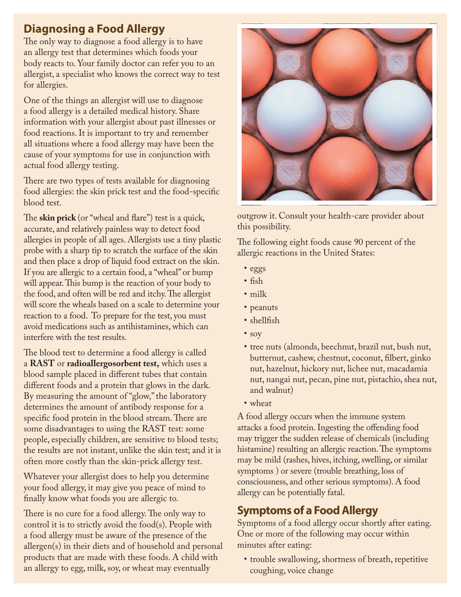# **Diagnosing a Food Allergy**

The only way to diagnose a food allergy is to have an allergy test that determines which foods your body reacts to. Your family doctor can refer you to an allergist, a specialist who knows the correct way to test for allergies.

One of the things an allergist will use to diagnose a food allergy is a detailed medical history. Share information with your allergist about past illnesses or food reactions. It is important to try and remember all situations where a food allergy may have been the cause of your symptoms for use in conjunction with actual food allergy testing.

There are two types of tests available for diagnosing food allergies: the skin prick test and the food-specific blood test.

The **skin prick** (or "wheal and flare") test is a quick, accurate, and relatively painless way to detect food allergies in people of all ages. Allergists use a tiny plastic probe with a sharp tip to scratch the surface of the skin and then place a drop of liquid food extract on the skin. If you are allergic to a certain food, a "wheal" or bump will appear. This bump is the reaction of your body to the food, and often will be red and itchy. The allergist will score the wheals based on a scale to determine your reaction to a food. To prepare for the test, you must avoid medications such as antihistamines, which can interfere with the test results.

The blood test to determine a food allergy is called a **RAST** or **radioallergosorbent test,** which uses a blood sample placed in different tubes that contain different foods and a protein that glows in the dark. By measuring the amount of "glow," the laboratory determines the amount of antibody response for a specific food protein in the blood stream. There are some disadvantages to using the RAST test: some people, especially children, are sensitive to blood tests; the results are not instant, unlike the skin test; and it is often more costly than the skin-prick allergy test.

Whatever your allergist does to help you determine your food allergy, it may give you peace of mind to finally know what foods you are allergic to.

There is no cure for a food allergy. The only way to control it is to strictly avoid the food(s). People with a food allergy must be aware of the presence of the allergen(s) in their diets and of household and personal products that are made with these foods. A child with an allergy to egg, milk, soy, or wheat may eventually



outgrow it. Consult your health-care provider about this possibility.

The following eight foods cause 90 percent of the allergic reactions in the United States:

- • eggs
- • fish
- milk
- peanuts
- shellfish
- soy
- tree nuts (almonds, beechnut, brazil nut, bush nut, butternut, cashew, chestnut, coconut, filbert, ginko nut, hazelnut, hickory nut, lichee nut, macadamia nut, nangai nut, pecan, pine nut, pistachio, shea nut, and walnut)
- wheat

A food allergy occurs when the immune system attacks a food protein. Ingesting the offending food may trigger the sudden release of chemicals (including histamine) resulting an allergic reaction. The symptoms may be mild (rashes, hives, itching, swelling, or similar symptoms ) or severe (trouble breathing, loss of consciousness, and other serious symptoms). A food allergy can be potentially fatal.

### **Symptoms of a Food Allergy**

Symptoms of a food allergy occur shortly after eating. One or more of the following may occur within minutes after eating:

• trouble swallowing, shortness of breath, repetitive coughing, voice change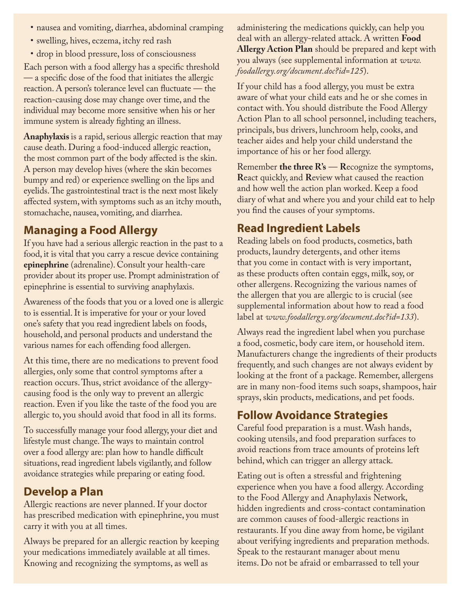- nausea and vomiting, diarrhea, abdominal cramping
- • swelling, hives, eczema, itchy red rash
- • drop in blood pressure, loss of consciousness

Each person with a food allergy has a specific threshold — a specific dose of the food that initiates the allergic reaction. A person's tolerance level can fluctuate — the reaction-causing dose may change over time, and the individual may become more sensitive when his or her immune system is already fighting an illness.

**Anaphylaxis** is a rapid, serious allergic reaction that may cause death. During a food-induced allergic reaction, the most common part of the body affected is the skin. A person may develop hives (where the skin becomes bumpy and red) or experience swelling on the lips and eyelids. The gastrointestinal tract is the next most likely affected system, with symptoms such as an itchy mouth, stomachache, nausea, vomiting, and diarrhea.

# **Managing a Food Allergy**

If you have had a serious allergic reaction in the past to a food, it is vital that you carry a rescue device containing **epinephrine** (adrenaline). Consult your health-care provider about its proper use. Prompt administration of epinephrine is essential to surviving anaphylaxis.

Awareness of the foods that you or a loved one is allergic to is essential. It is imperative for your or your loved one's safety that you read ingredient labels on foods, household, and personal products and understand the various names for each offending food allergen.

At this time, there are no medications to prevent food allergies, only some that control symptoms after a reaction occurs. Thus, strict avoidance of the allergycausing food is the only way to prevent an allergic reaction. Even if you like the taste of the food you are allergic to, you should avoid that food in all its forms.

To successfully manage your food allergy, your diet and lifestyle must change. The ways to maintain control over a food allergy are: plan how to handle difficult situations, read ingredient labels vigilantly, and follow avoidance strategies while preparing or eating food.

# **Develop a Plan**

Allergic reactions are never planned. If your doctor has prescribed medication with epinephrine, you must carry it with you at all times.

Always be prepared for an allergic reaction by keeping your medications immediately available at all times. Knowing and recognizing the symptoms, as well as

administering the medications quickly, can help you deal with an allergy-related attack. A written **Food Allergy Action Plan** should be prepared and kept with you always (see supplemental information at *www. foodallergy.org/document.doc?id=125*).

If your child has a food allergy, you must be extra aware of what your child eats and he or she comes in contact with. You should distribute the Food Allergy Action Plan to all school personnel, including teachers, principals, bus drivers, lunchroom help, cooks, and teacher aides and help your child understand the importance of his or her food allergy.

Remember **the three R's** — **R**ecognize the symptoms, **R**eact quickly, and **R**eview what caused the reaction and how well the action plan worked. Keep a food diary of what and where you and your child eat to help you find the causes of your symptoms.

# **Read Ingredient Labels**

Reading labels on food products, cosmetics, bath products, laundry detergents, and other items that you come in contact with is very important, as these products often contain eggs, milk, soy, or other allergens. Recognizing the various names of the allergen that you are allergic to is crucial (see supplemental information about how to read a food label at *www.foodallergy.org/document.doc?id=133*).

Always read the ingredient label when you purchase a food, cosmetic, body care item, or household item. Manufacturers change the ingredients of their products frequently, and such changes are not always evident by looking at the front of a package. Remember, allergens are in many non-food items such soaps, shampoos, hair sprays, skin products, medications, and pet foods.

# **Follow Avoidance Strategies**

Careful food preparation is a must. Wash hands, cooking utensils, and food preparation surfaces to avoid reactions from trace amounts of proteins left behind, which can trigger an allergy attack.

Eating out is often a stressful and frightening experience when you have a food allergy. According to the Food Allergy and Anaphylaxis Network, hidden ingredients and cross-contact contamination are common causes of food-allergic reactions in restaurants. If you dine away from home, be vigilant about verifying ingredients and preparation methods. Speak to the restaurant manager about menu items. Do not be afraid or embarrassed to tell your